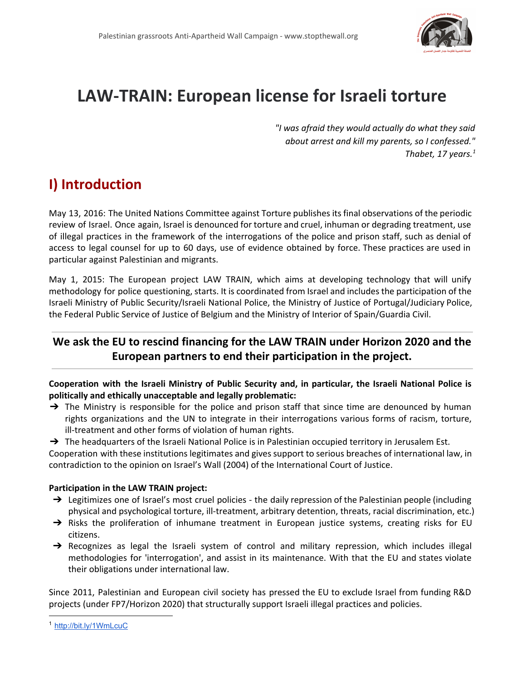

# **LAWTRAIN: European license for Israeli torture**

*"I was afraid they would actually do what they said about arrest and kill my parents, so I confessed." Thabet, 17 years. 1*

## **I) Introduction**

May 13, 2016: The United Nations Committee against Torture publishes its final observations of the periodic review of Israel. Once again, Israel is denounced for torture and cruel, inhuman or degrading treatment, use of illegal practices in the framework of the interrogations of the police and prison staff, such as denial of access to legal counsel for up to 60 days, use of evidence obtained by force. These practices are used in particular against Palestinian and migrants.

May 1, 2015: The European project LAW TRAIN, which aims at developing technology that will unify methodology for police questioning, starts. It is coordinated from Israel and includes the participation of the Israeli Ministry of Public Security/Israeli National Police, the Ministry of Justice of Portugal/Judiciary Police, the Federal Public Service of Justice of Belgium and the Ministry of Interior of Spain/Guardia Civil.

### **We ask the EU to rescind financing for the LAW TRAIN under Horizon 2020 and the European partners to end their participation in the project.**

**Cooperation with the Israeli Ministry of Public Security and, in particular, the Israeli National Police is politically and ethically unacceptable and legally problematic:**

 $\rightarrow$  The Ministry is responsible for the police and prison staff that since time are denounced by human rights organizations and the UN to integrate in their interrogations various forms of racism, torture, ill-treatment and other forms of violation of human rights.

→ The headquarters of the Israeli National Police is in Palestinian occupied territory in Jerusalem Est.

Cooperation with these institutions legitimates and gives support to serious breaches of international law, in contradiction to the opinion on Israel's Wall (2004) of the International Court of Justice.

#### **Participation in the LAW TRAIN project:**

- → Legitimizes one of Israel's most cruel policies the daily repression of the Palestinian people (including physical and psychological torture, ill-treatment, arbitrary detention, threats, racial discrimination, etc.)
- → Risks the proliferation of inhumane treatment in European justice systems, creating risks for EU citizens.
- → Recognizes as legal the Israeli system of control and military repression, which includes illegal methodologies for 'interrogation', and assist in its maintenance. With that the EU and states violate their obligations under international law.

Since 2011, Palestinian and European civil society has pressed the EU to exclude Israel from funding R&D projects (under FP7/Horizon 2020) that structurally support Israeli illegal practices and policies.

<sup>1</sup> <http://bit.ly/1WmLcuC>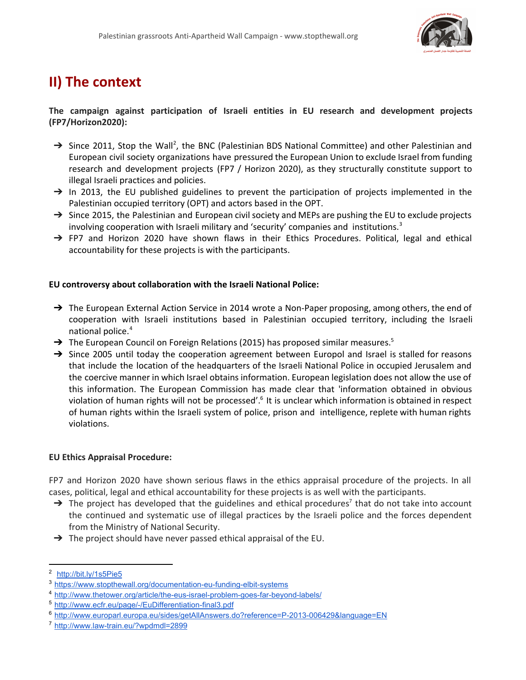

## **II) The context**

#### **The campaign against participation of Israeli entities in EU research and development projects (FP7/Horizon2020):**

- $\rightarrow$  Since 2011, Stop the Wall<sup>2</sup>, the BNC (Palestinian BDS National Committee) and other Palestinian and European civil society organizations have pressured the European Union to exclude Israel from funding research and development projects (FP7 / Horizon 2020), as they structurally constitute support to illegal Israeli practices and policies.
- $\rightarrow$  In 2013, the EU published guidelines to prevent the participation of projects implemented in the Palestinian occupied territory (OPT) and actors based in the OPT.
- → Since 2015, the Palestinian and European civil society and MEPs are pushing the EU to exclude projects involving cooperation with Israeli military and 'security' companies and institutions. 3
- → FP7 and Horizon 2020 have shown flaws in their Ethics Procedures. Political, legal and ethical accountability for these projects is with the participants.

#### **EU controversy about collaboration with the Israeli National Police:**

- $\rightarrow$  The European External Action Service in 2014 wrote a Non-Paper proposing, among others, the end of cooperation with Israeli institutions based in Palestinian occupied territory, including the Israeli national police. 4
- $\rightarrow$  The European Council on Foreign Relations (2015) has proposed similar measures.<sup>5</sup>
- → Since 2005 until today the cooperation agreement between Europol and Israel is stalled for reasons that include the location of the headquarters of the Israeli National Police in occupied Jerusalem and the coercive manner in which Israel obtains information. European legislation does not allow the use of this information. The European Commission has made clear that 'information obtained in obvious violation of human rights will not be processed'.<sup>6</sup> It is unclear which information is obtained in respect of human rights within the Israeli system of police, prison and intelligence, replete with human rights violations.

#### **EU Ethics Appraisal Procedure:**

FP7 and Horizon 2020 have shown serious flaws in the ethics appraisal procedure of the projects. In all cases, political, legal and ethical accountability for these projects is as well with the participants.

- $\rightarrow$  The project has developed that the guidelines and ethical procedures<sup>7</sup> that do not take into account the continued and systematic use of illegal practices by the Israeli police and the forces dependent from the Ministry of National Security.
- $\rightarrow$  The project should have never passed ethical appraisal of the EU.

<sup>2</sup> <http://bit.ly/1s5Pie5>

<sup>&</sup>lt;sup>3</sup> https://www.stopthewall.org/documentation-eu-funding-elbit-systems

<sup>4</sup> http://www.thetower.org/article/the-eus-israel-problem-goes-far-beyond-labels/

<sup>5</sup> http://www.ecfr.eu/page/-/EuDifferentiation-final3.pdf

<sup>6</sup> http://www.europarl.europa.eu/sides/getAllAnswers.do?reference=P-2013-006429&language=EN

<sup>&</sup>lt;sup>7</sup> http://www.law-train.eu/?wpdmdl=2899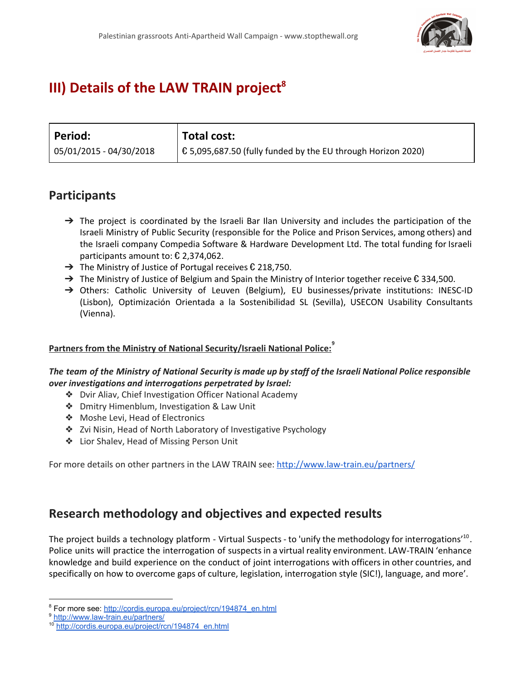

## **III) Details of the LAW TRAIN project 8**

| Period:                   | <b>Total cost:</b>                                                   |
|---------------------------|----------------------------------------------------------------------|
| $05/01/2015 - 04/30/2018$ | $\vert$ € 5,095,687.50 (fully funded by the EU through Horizon 2020) |

### **Participants**

- $\rightarrow$  The project is coordinated by the Israeli Bar Ilan University and includes the participation of the Israeli Ministry of Public Security (responsible for the Police and Prison Services, among others) and the Israeli company Compedia Software & Hardware Development Ltd. The total funding for Israeli participants amount to: € 2,374,062.
- $\rightarrow$  The Ministry of Justice of Portugal receives  $\epsilon$  218,750.
- → The Ministry of Justice of Belgium and Spain the Ministry of Interior together receive € 334,500.
- → Others: Catholic University of Leuven (Belgium), EU businesses/private institutions: INESC-ID (Lisbon), Optimización Orientada a la Sostenibilidad SL (Sevilla), USECON Usability Consultants (Vienna).

#### **Partners from the Ministry of National Security/Israeli National Police: 9**

#### The team of the Ministry of National Security is made up by staff of the Israeli National Police responsible *over investigations and interrogations perpetrated by Israel:*

- ❖ Dvir Aliav, Chief Investigation Officer National Academy
- ❖ Dmitry Himenblum, Investigation & Law Unit
- ❖ Moshe Levi, Head of Electronics
- ❖ Zvi Nisin, Head of North Laboratory of Investigative Psychology
- ❖ Lior Shalev, Head of Missing Person Unit

For more details on other partners in the LAW TRAIN see: http://www.law-train.eu/partners/

### **Research methodology and objectives and expected results**

The project builds a technology platform - Virtual Suspects - to 'unify the methodology for interrogations'<sup>10</sup>. Police units will practice the interrogation of suspects in a virtual reality environment. LAW-TRAIN 'enhance knowledge and build experience on the conduct of joint interrogations with officers in other countries, and specifically on how to overcome gaps of culture, legislation, interrogation style (SIC!), language, and more'.

<sup>&</sup>lt;sup>8</sup> For more see: [http://cordis.europa.eu/project/rcn/194874\\_en.html](http://cordis.europa.eu/project/rcn/194874_en.html)

<sup>&</sup>lt;sup>9</sup> http://www.law-train.eu/partners/

<sup>10</sup> [http://cordis.europa.eu/project/rcn/194874\\_en.html](http://cordis.europa.eu/project/rcn/194874_en.html)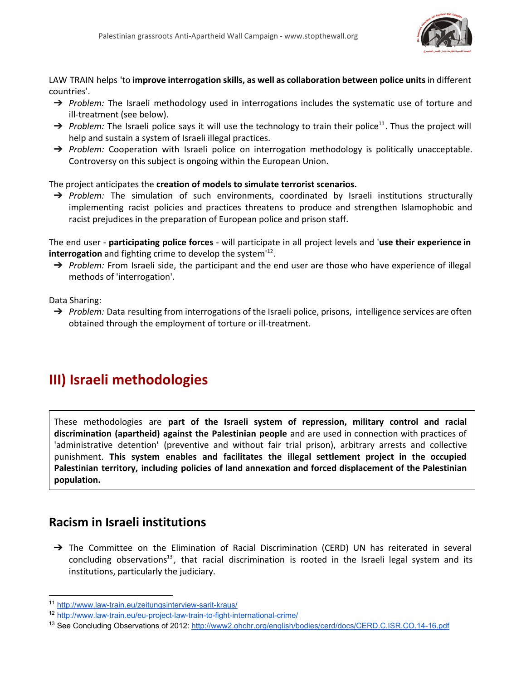

LAW TRAIN helps 'to **improve interrogation skills, as well as collaboration between police units** in different countries'.

- → *Problem:* The Israeli methodology used in interrogations includes the systematic use of torture and ill-treatment (see below).
- $\rightarrow$  Problem: The Israeli police says it will use the technology to train their police<sup>11</sup>. Thus the project will help and sustain a system of Israeli illegal practices.
- → *Problem:* Cooperation with Israeli police on interrogation methodology is politically unacceptable. Controversy on this subject is ongoing within the European Union.

The project anticipates the **creation of models to simulate terrorist scenarios.**

→ *Problem:* The simulation of such environments, coordinated by Israeli institutions structurally implementing racist policies and practices threatens to produce and strengthen Islamophobic and racist prejudices in the preparation of European police and prison staff.

The end user **participating police forces** will participate in all project levels and '**use their experience in interrogation** and fighting crime to develop the system<sup>112</sup>.

→ *Problem:* From Israeli side, the participant and the end user are those who have experience of illegal methods of 'interrogation'.

Data Sharing:

→ *Problem:* Data resulting from interrogations of the Israeli police, prisons, intelligence services are often obtained through the employment of torture or ill-treatment.

## **III) Israeli methodologies**

These methodologies are **part of the Israeli system of repression, military control and racial discrimination (apartheid) against the Palestinian people** and are used in connection with practices of 'administrative detention' (preventive and without fair trial prison), arbitrary arrests and collective punishment. **This system enables and facilitates the illegal settlement project in the occupied Palestinian territory, including policies of land annexation and forced displacement of the Palestinian population.**

### **Racism in Israeli institutions**

→ The Committee on the Elimination of Racial Discrimination (CERD) UN has reiterated in several concluding observations<sup>13</sup>, that racial discrimination is rooted in the Israeli legal system and its institutions, particularly the judiciary.

<sup>11</sup> http://www.law-train.eu/zeitungsinterview-sarit-kraus/

<sup>&</sup>lt;sup>12</sup> http://www.law-train.eu/eu-project-law-train-to-fight-international-crime/

<sup>&</sup>lt;sup>13</sup> See Concluding Observations of 2012: http://www2.ohchr.org/english/bodies/cerd/docs/CERD.C.ISR.CO.14-16.pdf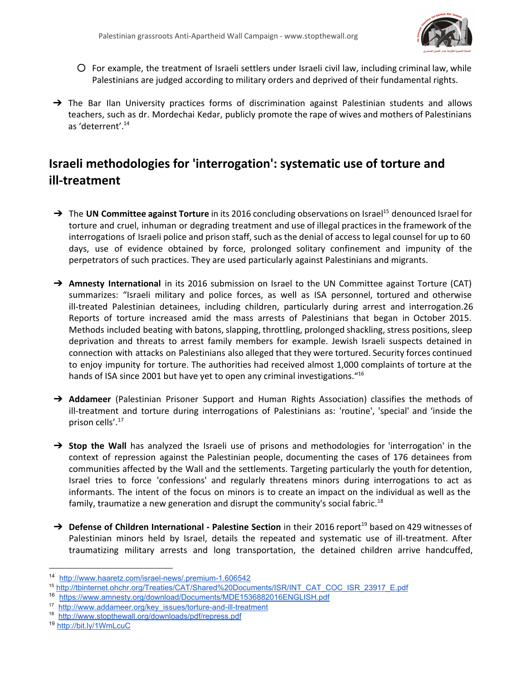

- $\circ$  For example, the treatment of Israeli settlers under Israeli civil law, including criminal law, while Palestinians are judged according to military orders and deprived of their fundamental rights.
- → The Bar Ilan University practices forms of discrimination against Palestinian students and allows teachers, such as dr. Mordechai Kedar, publicly promote the rape of wives and mothers of Palestinians as 'deterrent'. 14

### **Israeli methodologies for 'interrogation': systematic use of torture and ill-treatment**

- → The UN Committee against Torture in its 2016 concluding observations on Israel<sup>15</sup> denounced Israel for torture and cruel, inhuman or degrading treatment and use of illegal practices in the framework of the interrogations of Israeli police and prison staff, such as the denial of access to legal counsel for up to 60 days, use of evidence obtained by force, prolonged solitary confinement and impunity of the perpetrators of such practices. They are used particularly against Palestinians and migrants.
- → Amnesty International in its 2016 submission on Israel to the UN Committee against Torture (CAT) summarizes: "Israeli military and police forces, as well as ISA personnel, tortured and otherwise ill-treated Palestinian detainees, including children, particularly during arrest and interrogation.26 Reports of torture increased amid the mass arrests of Palestinians that began in October 2015. Methods included beating with batons, slapping, throttling, prolonged shackling, stress positions, sleep deprivation and threats to arrest family members for example. Jewish Israeli suspects detained in connection with attacks on Palestinians also alleged that they were tortured. Security forces continued to enjoy impunity for torture. The authorities had received almost 1,000 complaints of torture at the hands of ISA since 2001 but have yet to open any criminal investigations."<sup>16</sup>
- → **Addameer** (Palestinian Prisoner Support and Human Rights Association) classifies the methods of ill-treatment and torture during interrogations of Palestinians as: 'routine', 'special' and 'inside the prison cells'. 17
- ➔ **Stop the Wall** has analyzed the Israeli use of prisons and methodologies for 'interrogation' in the context of repression against the Palestinian people, documenting the cases of 176 detainees from communities affected by the Wall and the settlements. Targeting particularly the youth for detention, Israel tries to force 'confessions' and regularly threatens minors during interrogations to act as informants. The intent of the focus on minors is to create an impact on the individual as well as the family, traumatize a new generation and disrupt the community's social fabric.<sup>18</sup>
- → Defense of Children International Palestine Section in their 2016 report<sup>19</sup> based on 429 witnesses of Palestinian minors held by Israel, details the repeated and systematic use of ill-treatment. After traumatizing military arrests and long transportation, the detained children arrive handcuffed,

<sup>14</sup> http://www.haaretz.com/israel-news/.premium-1.606542

<sup>15</sup> [http://tbinternet.ohchr.org/Treaties/CAT/Shared%20Documents/ISR/INT\\_CAT\\_COC\\_ISR\\_23917\\_E.pdf](http://tbinternet.ohchr.org/Treaties/CAT/Shared%20Documents/ISR/INT_CAT_COC_ISR_23917_E.pdf)

<sup>16</sup> <https://www.amnesty.org/download/Documents/MDE1536882016ENGLISH.pdf>

<sup>&</sup>lt;sup>17</sup> http://www.addameer.org/key\_issues/torture-and-ill-treatment

<sup>18</sup> <http://www.stopthewall.org/downloads/pdf/repress.pdf>

<sup>19</sup> <http://bit.ly/1WmLcuC>